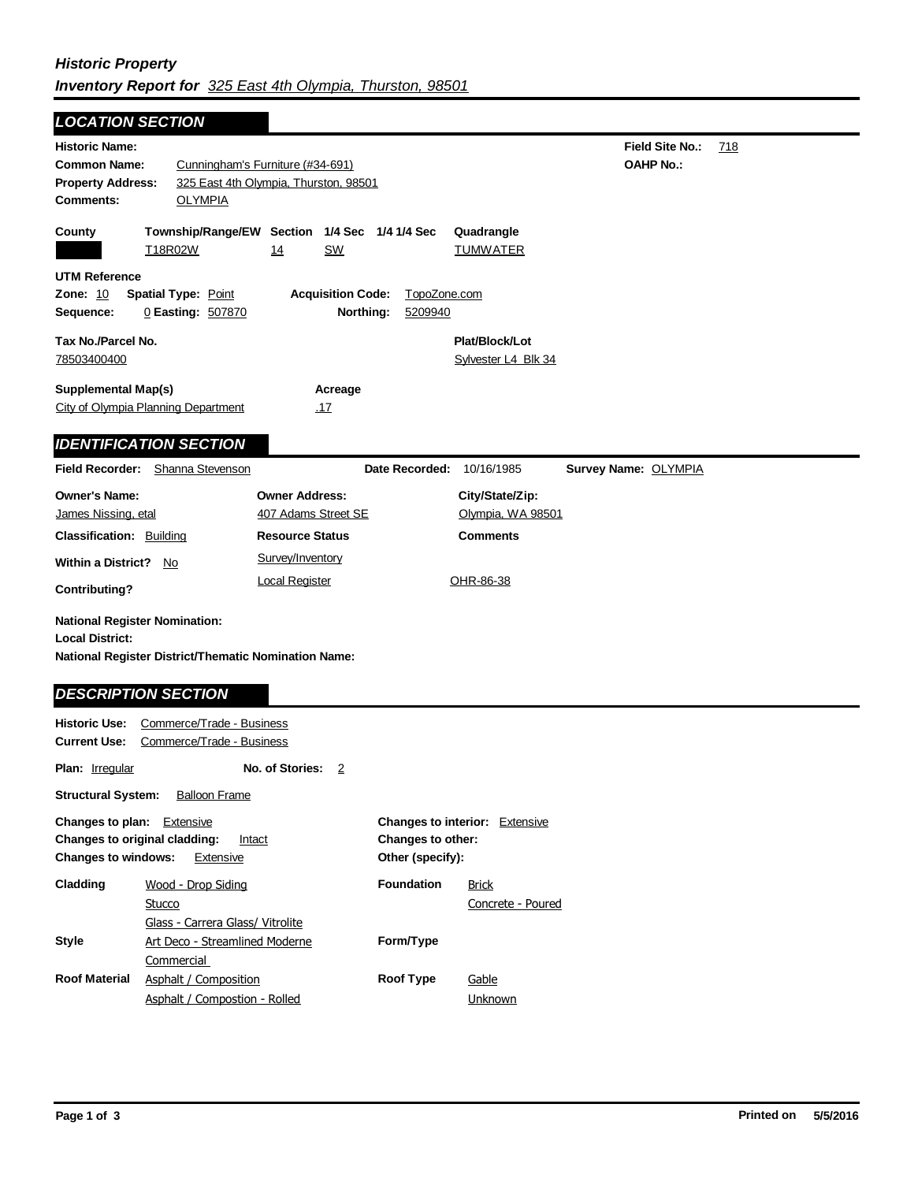## *Historic Property Inventory Report for 325 East 4th Olympia, Thurston, 98501*

**Field Site No.:** 718 **OAHP No.: Historic Name: Common Name:** Cunningham's Furniture (#34-691) **County Plat/Block/Lot** Sylvester L4 Blk 34 **Acreage** .17 **Supplemental Map(s)** City of Olympia Planning Department **Tax No./Parcel No.** 78503400400 **Property Address:** 325 East 4th Olympia, Thurston, 98501 *LOCATION SECTION* **Comments:** OLYMPIA **Quadrangle UTM Reference Township/Range/EW Section 1/4 Sec 1/4 1/4 Sec Owner Address:** 407 Adams Street SE **Field Recorder:** Shanna Stevenson **Owner's Name:** James Nissing, etal **City/State/Zip:** Olympia, WA 98501 **National Register District/Thematic Nomination Name: Local District: Date Recorded:** 10/16/1985 **Classification:** Building **Within a District?** No **Contributing? Comments National Register Nomination:** Plan: **Irregular Other (specify): Style Historic Use:** Commerce/Trade - Business **Current Use:** Commerce/Trade - Business **Structural System:** Balloon Frame **No. of Stories:** 2 **Changes to plan:** Extensive **Changes to original cladding:** Intact **Changes to windows:** Extensive **Changes to interior:** Extensive **Changes to other: Cladding Roof Material Foundation Resource Status Form/Type Roof Type Survey Name:** OLYMPIA *IDENTIFICATION SECTION DESCRIPTION SECTION* T18R02W 14 SW TUMWATER **Zone:** 10 **Spatial Type:** Point **Acquisition Code:** TopoZone.com **Sequence:** 0 **Easting:** 507870 **Northing:** 5209940 Art Deco - Streamlined Moderne **Commercial** Wood - Drop Siding **Stucco** Glass - Carrera Glass/ Vitrolite Asphalt / Composition Asphalt / Compostion - Rolled **Brick** Concrete - Poured Survey/Inventory Local Register **OHR-86-38 Gable Unknown**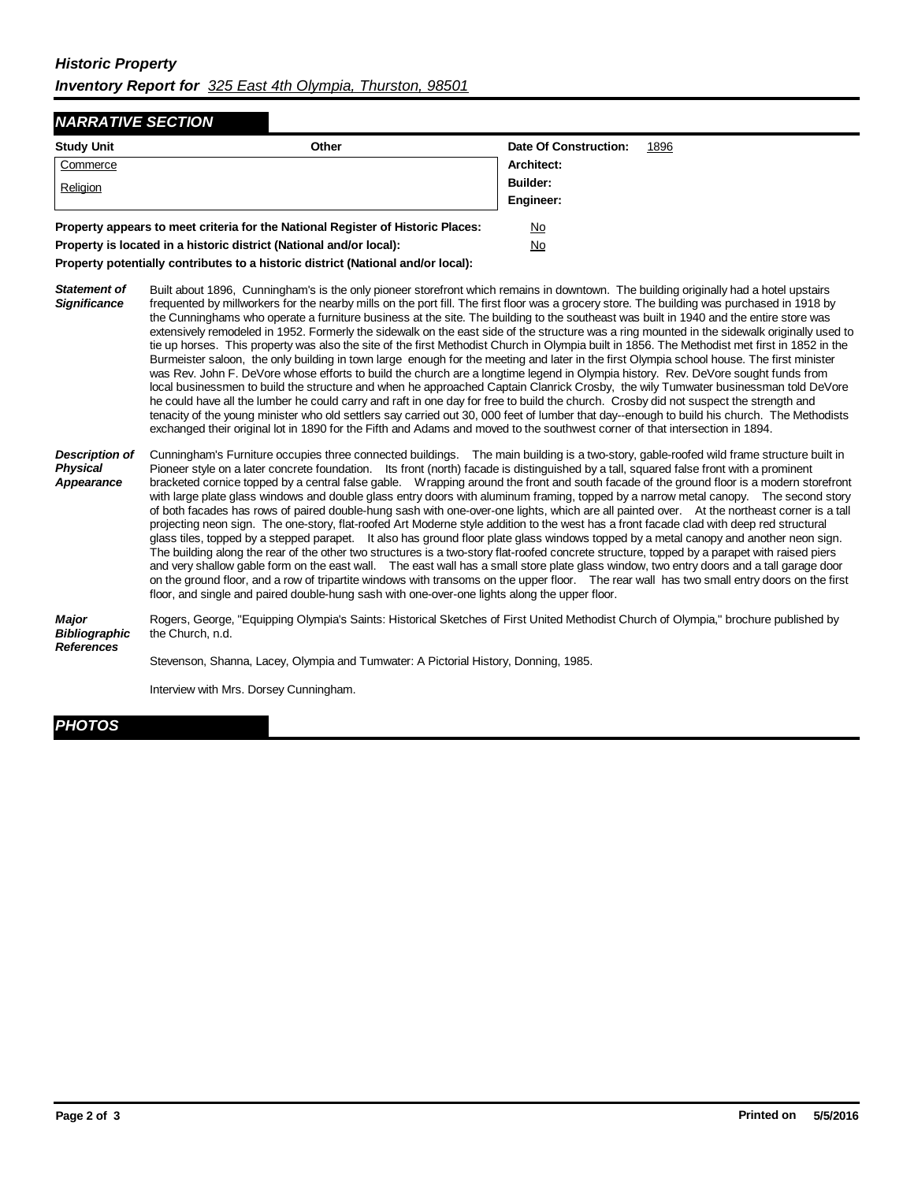## *Historic Property Inventory Report for 325 East 4th Olympia, Thurston, 98501*

## *NARRATIVE SECTION*

| <b>Study Unit</b>                                                               | Other | Date Of Construction: | 1896 |
|---------------------------------------------------------------------------------|-------|-----------------------|------|
| Commerce                                                                        |       | Architect:            |      |
| Religion                                                                        |       | <b>Builder:</b>       |      |
|                                                                                 |       | Engineer:             |      |
| Property appears to meet criteria for the National Register of Historic Places: |       | No                    |      |
|                                                                                 |       |                       |      |

**Property is located in a historic district (National and/or local):** No

**Property potentially contributes to a historic district (National and/or local):**

- *Statement of Significance* Built about 1896, Cunningham's is the only pioneer storefront which remains in downtown. The building originally had a hotel upstairs frequented by millworkers for the nearby mills on the port fill. The first floor was a grocery store. The building was purchased in 1918 by the Cunninghams who operate a furniture business at the site. The building to the southeast was built in 1940 and the entire store was extensively remodeled in 1952. Formerly the sidewalk on the east side of the structure was a ring mounted in the sidewalk originally used to tie up horses. This property was also the site of the first Methodist Church in Olympia built in 1856. The Methodist met first in 1852 in the Burmeister saloon, the only building in town large enough for the meeting and later in the first Olympia school house. The first minister was Rev. John F. DeVore whose efforts to build the church are a longtime legend in Olympia history. Rev. DeVore sought funds from local businessmen to build the structure and when he approached Captain Clanrick Crosby, the wily Tumwater businessman told DeVore he could have all the lumber he could carry and raft in one day for free to build the church. Crosby did not suspect the strength and tenacity of the young minister who old settlers say carried out 30, 000 feet of lumber that day--enough to build his church. The Methodists exchanged their original lot in 1890 for the Fifth and Adams and moved to the southwest corner of that intersection in 1894.
- *Description of Physical Appearance* Cunningham's Furniture occupies three connected buildings. The main building is a two-story, gable-roofed wild frame structure built in Pioneer style on a later concrete foundation. Its front (north) facade is distinguished by a tall, squared false front with a prominent bracketed cornice topped by a central false gable. Wrapping around the front and south facade of the ground floor is a modern storefront with large plate glass windows and double glass entry doors with aluminum framing, topped by a narrow metal canopy. The second story of both facades has rows of paired double-hung sash with one-over-one lights, which are all painted over. At the northeast corner is a tall projecting neon sign. The one-story, flat-roofed Art Moderne style addition to the west has a front facade clad with deep red structural glass tiles, topped by a stepped parapet. It also has ground floor plate glass windows topped by a metal canopy and another neon sign. The building along the rear of the other two structures is a two-story flat-roofed concrete structure, topped by a parapet with raised piers and very shallow gable form on the east wall. The east wall has a small store plate glass window, two entry doors and a tall garage door on the ground floor, and a row of tripartite windows with transoms on the upper floor. The rear wall has two small entry doors on the first floor, and single and paired double-hung sash with one-over-one lights along the upper floor.

*Major Bibliographic References* Rogers, George, "Equipping Olympia's Saints: Historical Sketches of First United Methodist Church of Olympia," brochure published by the Church, n.d.

Stevenson, Shanna, Lacey, Olympia and Tumwater: A Pictorial History, Donning, 1985.

Interview with Mrs. Dorsey Cunningham.

## *PHOTOS*